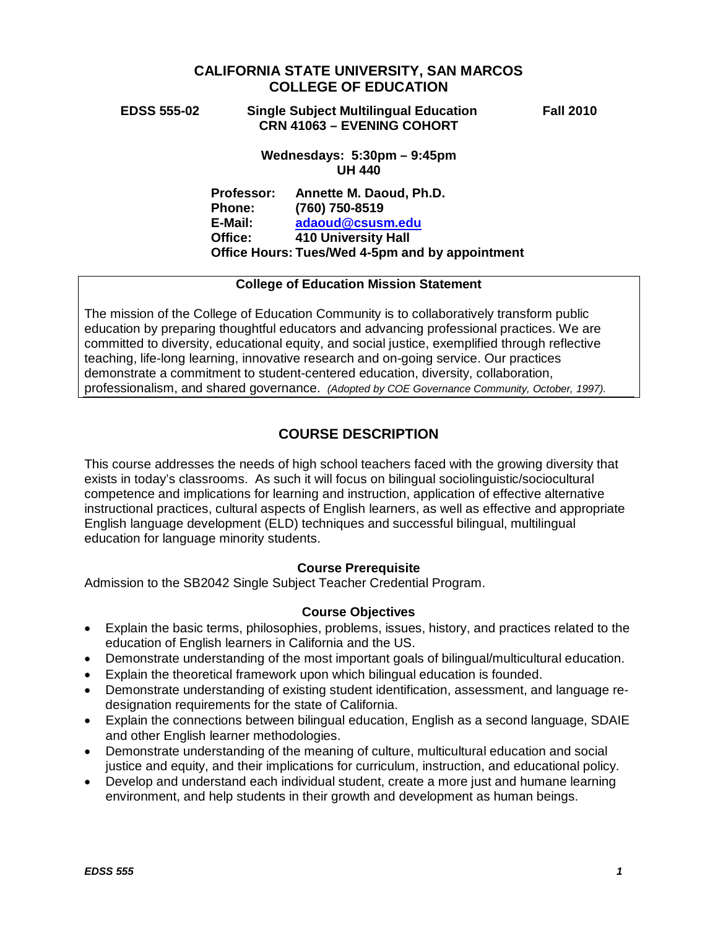# **CALIFORNIA STATE UNIVERSITY, SAN MARCOS COLLEGE OF EDUCATION**

## **EDSS 555-02 Single Subject Multilingual Education Fall 2010 CRN 41063 – EVENING COHORT**

## **Wednesdays: 5:30pm – 9:45pm UH 440**

**Professor: Annette M. Daoud, Ph.D. Phone: (760) 750-8519 E-Mail: [adaoud@csusm.edu](mailto:adaoud@csusm.edu) Office: 410 University Hall Office Hours: Tues/Wed 4-5pm and by appointment**

# **College of Education Mission Statement**

The mission of the College of Education Community is to collaboratively transform public education by preparing thoughtful educators and advancing professional practices. We are committed to diversity, educational equity, and social justice, exemplified through reflective teaching, life-long learning, innovative research and on-going service. Our practices demonstrate a commitment to student-centered education, diversity, collaboration, professionalism, and shared governance. *(Adopted by COE Governance Community, October, 1997).*

# **COURSE DESCRIPTION**

This course addresses the needs of high school teachers faced with the growing diversity that exists in today's classrooms. As such it will focus on bilingual sociolinguistic/sociocultural competence and implications for learning and instruction, application of effective alternative instructional practices, cultural aspects of English learners, as well as effective and appropriate English language development (ELD) techniques and successful bilingual, multilingual education for language minority students.

# **Course Prerequisite**

Admission to the SB2042 Single Subject Teacher Credential Program.

# **Course Objectives**

- Explain the basic terms, philosophies, problems, issues, history, and practices related to the education of English learners in California and the US.
- Demonstrate understanding of the most important goals of bilingual/multicultural education.
- Explain the theoretical framework upon which bilingual education is founded.
- Demonstrate understanding of existing student identification, assessment, and language redesignation requirements for the state of California.
- Explain the connections between bilingual education, English as a second language, SDAIE and other English learner methodologies.
- Demonstrate understanding of the meaning of culture, multicultural education and social justice and equity, and their implications for curriculum, instruction, and educational policy.
- Develop and understand each individual student, create a more just and humane learning environment, and help students in their growth and development as human beings.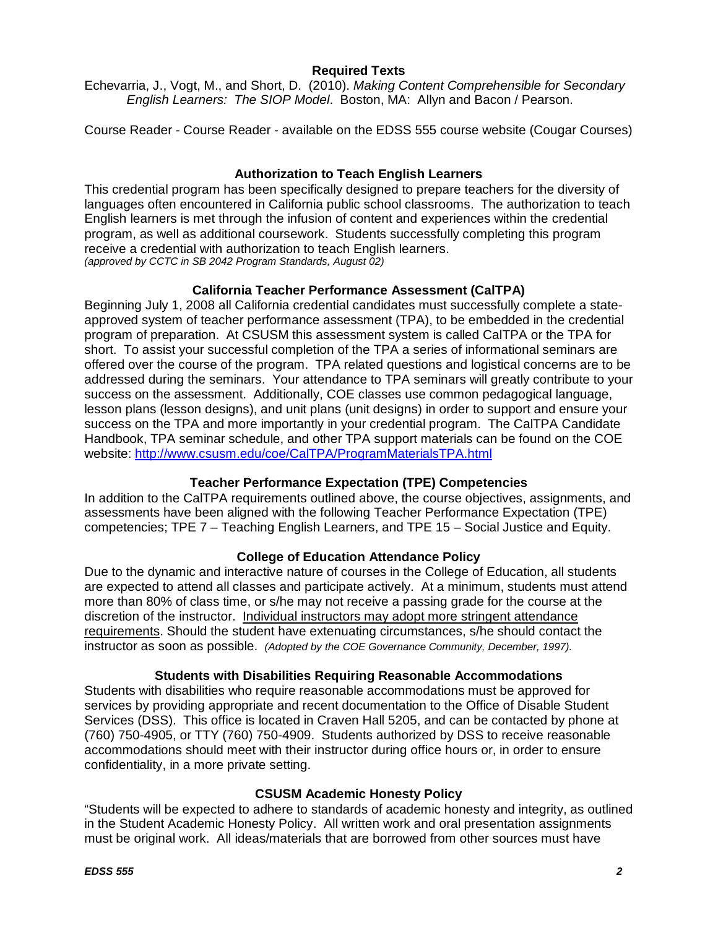# **Required Texts**

Echevarria, J., Vogt, M., and Short, D. (2010). *Making Content Comprehensible for Secondary English Learners: The SIOP Model*. Boston, MA: Allyn and Bacon / Pearson.

Course Reader - Course Reader - available on the EDSS 555 course website (Cougar Courses)

# **Authorization to Teach English Learners**

This credential program has been specifically designed to prepare teachers for the diversity of languages often encountered in California public school classrooms. The authorization to teach English learners is met through the infusion of content and experiences within the credential program, as well as additional coursework. Students successfully completing this program receive a credential with authorization to teach English learners. *(approved by CCTC in SB 2042 Program Standards, August 02)*

# **California Teacher Performance Assessment (CalTPA)**

Beginning July 1, 2008 all California credential candidates must successfully complete a stateapproved system of teacher performance assessment (TPA), to be embedded in the credential program of preparation. At CSUSM this assessment system is called CalTPA or the TPA for short. To assist your successful completion of the TPA a series of informational seminars are offered over the course of the program. TPA related questions and logistical concerns are to be addressed during the seminars. Your attendance to TPA seminars will greatly contribute to your success on the assessment. Additionally, COE classes use common pedagogical language, lesson plans (lesson designs), and unit plans (unit designs) in order to support and ensure your success on the TPA and more importantly in your credential program. The CalTPA Candidate Handbook, TPA seminar schedule, and other TPA support materials can be found on the COE website: <http://www.csusm.edu/coe/CalTPA/ProgramMaterialsTPA.html>

# **Teacher Performance Expectation (TPE) Competencies**

In addition to the CalTPA requirements outlined above, the course objectives, assignments, and assessments have been aligned with the following Teacher Performance Expectation (TPE) competencies; TPE 7 – Teaching English Learners, and TPE 15 – Social Justice and Equity.

# **College of Education Attendance Policy**

Due to the dynamic and interactive nature of courses in the College of Education, all students are expected to attend all classes and participate actively. At a minimum, students must attend more than 80% of class time, or s/he may not receive a passing grade for the course at the discretion of the instructor. Individual instructors may adopt more stringent attendance requirements. Should the student have extenuating circumstances, s/he should contact the instructor as soon as possible. *(Adopted by the COE Governance Community, December, 1997).*

## **Students with Disabilities Requiring Reasonable Accommodations**

Students with disabilities who require reasonable accommodations must be approved for services by providing appropriate and recent documentation to the Office of Disable Student Services (DSS). This office is located in Craven Hall 5205, and can be contacted by phone at (760) 750-4905, or TTY (760) 750-4909. Students authorized by DSS to receive reasonable accommodations should meet with their instructor during office hours or, in order to ensure confidentiality, in a more private setting.

## **CSUSM Academic Honesty Policy**

"Students will be expected to adhere to standards of academic honesty and integrity, as outlined in the Student Academic Honesty Policy. All written work and oral presentation assignments must be original work. All ideas/materials that are borrowed from other sources must have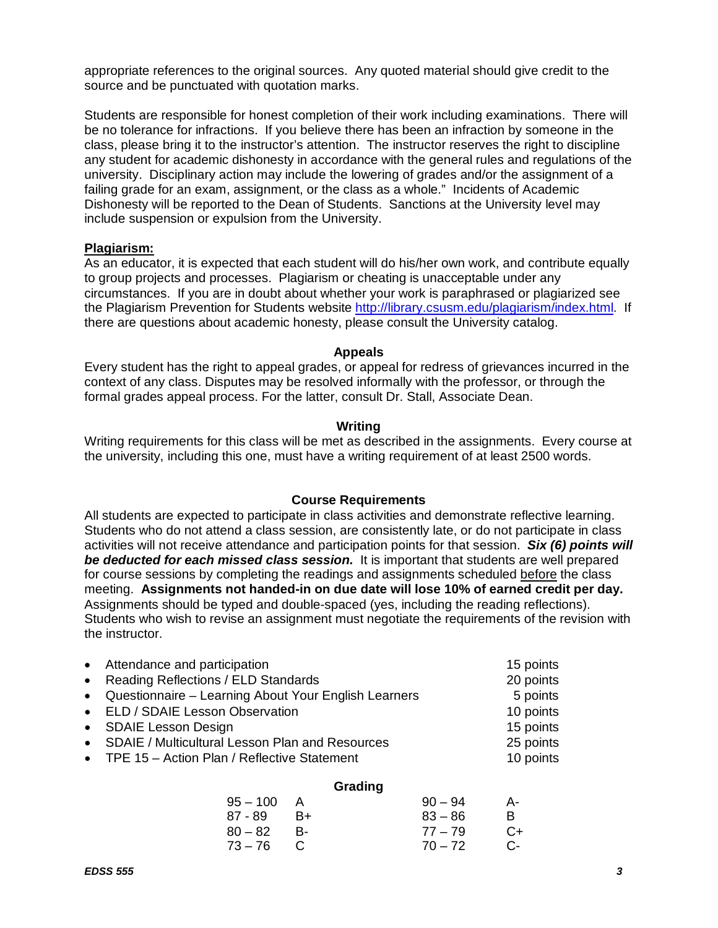appropriate references to the original sources. Any quoted material should give credit to the source and be punctuated with quotation marks.

Students are responsible for honest completion of their work including examinations. There will be no tolerance for infractions. If you believe there has been an infraction by someone in the class, please bring it to the instructor's attention. The instructor reserves the right to discipline any student for academic dishonesty in accordance with the general rules and regulations of the university. Disciplinary action may include the lowering of grades and/or the assignment of a failing grade for an exam, assignment, or the class as a whole." Incidents of Academic Dishonesty will be reported to the Dean of Students. Sanctions at the University level may include suspension or expulsion from the University.

### **Plagiarism:**

As an educator, it is expected that each student will do his/her own work, and contribute equally to group projects and processes. Plagiarism or cheating is unacceptable under any circumstances. If you are in doubt about whether your work is paraphrased or plagiarized see the Plagiarism Prevention for Students website [http://library.csusm.edu/plagiarism/index.html.](http://library.csusm.edu/plagiarism/index.html) If there are questions about academic honesty, please consult the University catalog.

#### **Appeals**

Every student has the right to appeal grades, or appeal for redress of grievances incurred in the context of any class. Disputes may be resolved informally with the professor, or through the formal grades appeal process. For the latter, consult Dr. Stall, Associate Dean.

### **Writing**

Writing requirements for this class will be met as described in the assignments. Every course at the university, including this one, must have a writing requirement of at least 2500 words.

#### **Course Requirements**

All students are expected to participate in class activities and demonstrate reflective learning. Students who do not attend a class session, are consistently late, or do not participate in class activities will not receive attendance and participation points for that session. *Six (6) points will be deducted for each missed class session.* It is important that students are well prepared for course sessions by completing the readings and assignments scheduled before the class meeting. **Assignments not handed-in on due date will lose 10% of earned credit per day.** Assignments should be typed and double-spaced (yes, including the reading reflections). Students who wish to revise an assignment must negotiate the requirements of the revision with the instructor.

| • Attendance and participation                         | 15 points |
|--------------------------------------------------------|-----------|
| • Reading Reflections / ELD Standards                  | 20 points |
| • Questionnaire - Learning About Your English Learners | 5 points  |
| • ELD / SDAIE Lesson Observation                       | 10 points |
| • SDAIE Lesson Design                                  | 15 points |
| • SDAIE / Multicultural Lesson Plan and Resources      | 25 points |
| • TPE 15 - Action Plan / Reflective Statement          | 10 points |
|                                                        |           |

### **Grading**

| $95 - 100$ | A    | $90 - 94$ | A-   |
|------------|------|-----------|------|
| 87 - 89    | - B+ | $83 - 86$ | R.   |
| $80 - 82$  | - B- | $77 - 79$ | C+   |
| 73–76 C    |      | $70 - 72$ | $C-$ |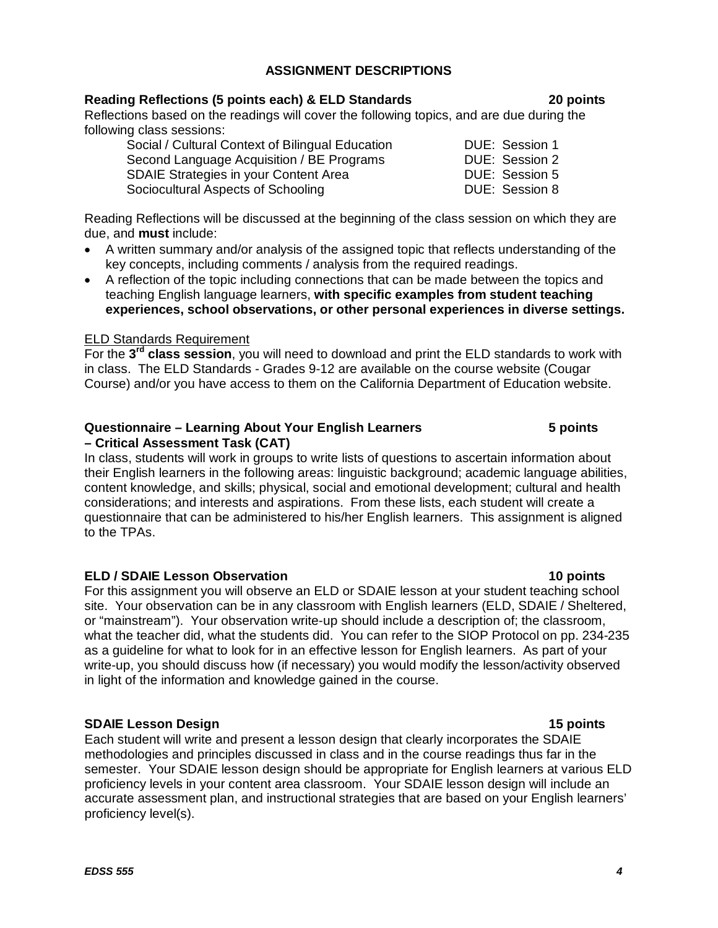# **ASSIGNMENT DESCRIPTIONS**

# **Reading Reflections (5 points each) & ELD Standards 20 points**

Reflections based on the readings will cover the following topics, and are due during the following class sessions:

| Social / Cultural Context of Bilingual Education |  |
|--------------------------------------------------|--|
| Second Language Acquisition / BE Programs        |  |
| <b>SDAIE Strategies in your Content Area</b>     |  |
| Sociocultural Aspects of Schooling               |  |

Reading Reflections will be discussed at the beginning of the class session on which they are due, and **must** include:

- A written summary and/or analysis of the assigned topic that reflects understanding of the key concepts, including comments / analysis from the required readings.
- A reflection of the topic including connections that can be made between the topics and teaching English language learners, **with specific examples from student teaching experiences, school observations, or other personal experiences in diverse settings.**

## ELD Standards Requirement

For the **3rd class session**, you will need to download and print the ELD standards to work with in class. The ELD Standards - Grades 9-12 are available on the course website (Cougar Course) and/or you have access to them on the California Department of Education website.

### **Questionnaire – Learning About Your English Learners 5 points – Critical Assessment Task (CAT)**

In class, students will work in groups to write lists of questions to ascertain information about their English learners in the following areas: linguistic background; academic language abilities, content knowledge, and skills; physical, social and emotional development; cultural and health considerations; and interests and aspirations. From these lists, each student will create a questionnaire that can be administered to his/her English learners. This assignment is aligned to the TPAs.

# **ELD / SDAIE Lesson Observation 10 points**

For this assignment you will observe an ELD or SDAIE lesson at your student teaching school site. Your observation can be in any classroom with English learners (ELD, SDAIE / Sheltered, or "mainstream"). Your observation write-up should include a description of; the classroom, what the teacher did, what the students did. You can refer to the SIOP Protocol on pp. 234-235 as a guideline for what to look for in an effective lesson for English learners. As part of your write-up, you should discuss how (if necessary) you would modify the lesson/activity observed in light of the information and knowledge gained in the course.

# **SDAIE Lesson Design 15 points**

Each student will write and present a lesson design that clearly incorporates the SDAIE methodologies and principles discussed in class and in the course readings thus far in the semester. Your SDAIE lesson design should be appropriate for English learners at various ELD proficiency levels in your content area classroom. Your SDAIE lesson design will include an accurate assessment plan, and instructional strategies that are based on your English learners' proficiency level(s).

DUE: Session 1 DUE: Session 2 DUE: Session 5 DUE: Session 8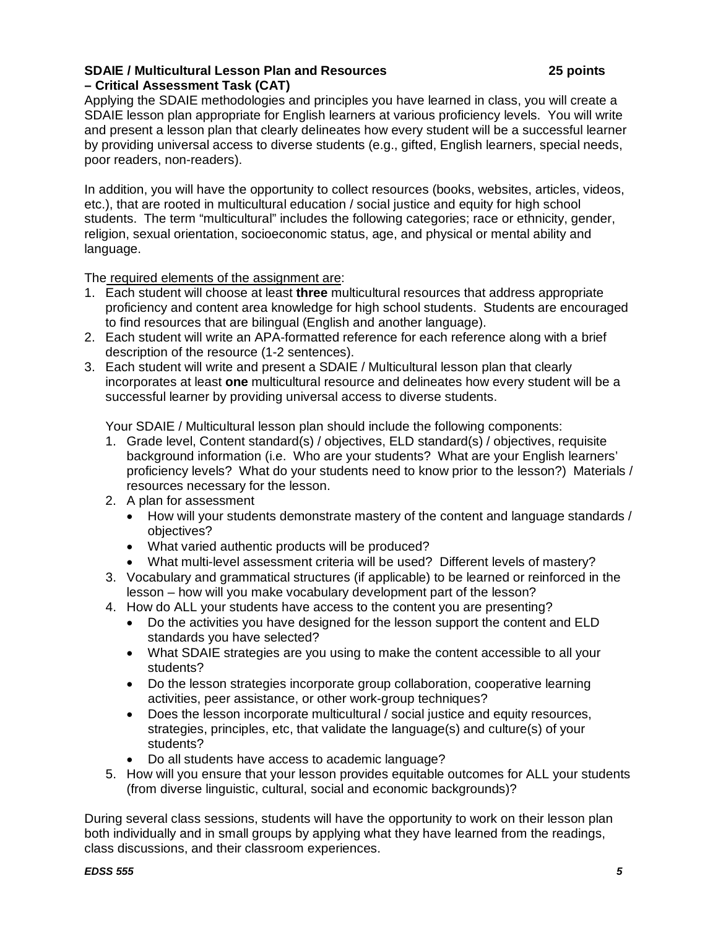## **SDAIE / Multicultural Lesson Plan and Resources 25 points – Critical Assessment Task (CAT)**

Applying the SDAIE methodologies and principles you have learned in class, you will create a SDAIE lesson plan appropriate for English learners at various proficiency levels. You will write and present a lesson plan that clearly delineates how every student will be a successful learner by providing universal access to diverse students (e.g., gifted, English learners, special needs, poor readers, non-readers).

In addition, you will have the opportunity to collect resources (books, websites, articles, videos, etc.), that are rooted in multicultural education / social justice and equity for high school students. The term "multicultural" includes the following categories; race or ethnicity, gender, religion, sexual orientation, socioeconomic status, age, and physical or mental ability and language.

The required elements of the assignment are:

- 1. Each student will choose at least **three** multicultural resources that address appropriate proficiency and content area knowledge for high school students. Students are encouraged to find resources that are bilingual (English and another language).
- 2. Each student will write an APA-formatted reference for each reference along with a brief description of the resource (1-2 sentences).
- 3. Each student will write and present a SDAIE / Multicultural lesson plan that clearly incorporates at least **one** multicultural resource and delineates how every student will be a successful learner by providing universal access to diverse students.

Your SDAIE / Multicultural lesson plan should include the following components:

- 1. Grade level, Content standard(s) / objectives, ELD standard(s) / objectives, requisite background information (i.e. Who are your students? What are your English learners' proficiency levels? What do your students need to know prior to the lesson?) Materials / resources necessary for the lesson.
- 2. A plan for assessment
	- How will your students demonstrate mastery of the content and language standards / objectives?
	- What varied authentic products will be produced?
	- What multi-level assessment criteria will be used? Different levels of mastery?
- 3. Vocabulary and grammatical structures (if applicable) to be learned or reinforced in the lesson – how will you make vocabulary development part of the lesson?
- 4. How do ALL your students have access to the content you are presenting?
	- Do the activities you have designed for the lesson support the content and ELD standards you have selected?
	- What SDAIE strategies are you using to make the content accessible to all your students?
	- Do the lesson strategies incorporate group collaboration, cooperative learning activities, peer assistance, or other work-group techniques?
	- Does the lesson incorporate multicultural / social justice and equity resources, strategies, principles, etc, that validate the language(s) and culture(s) of your students?
	- Do all students have access to academic language?
- 5. How will you ensure that your lesson provides equitable outcomes for ALL your students (from diverse linguistic, cultural, social and economic backgrounds)?

During several class sessions, students will have the opportunity to work on their lesson plan both individually and in small groups by applying what they have learned from the readings, class discussions, and their classroom experiences.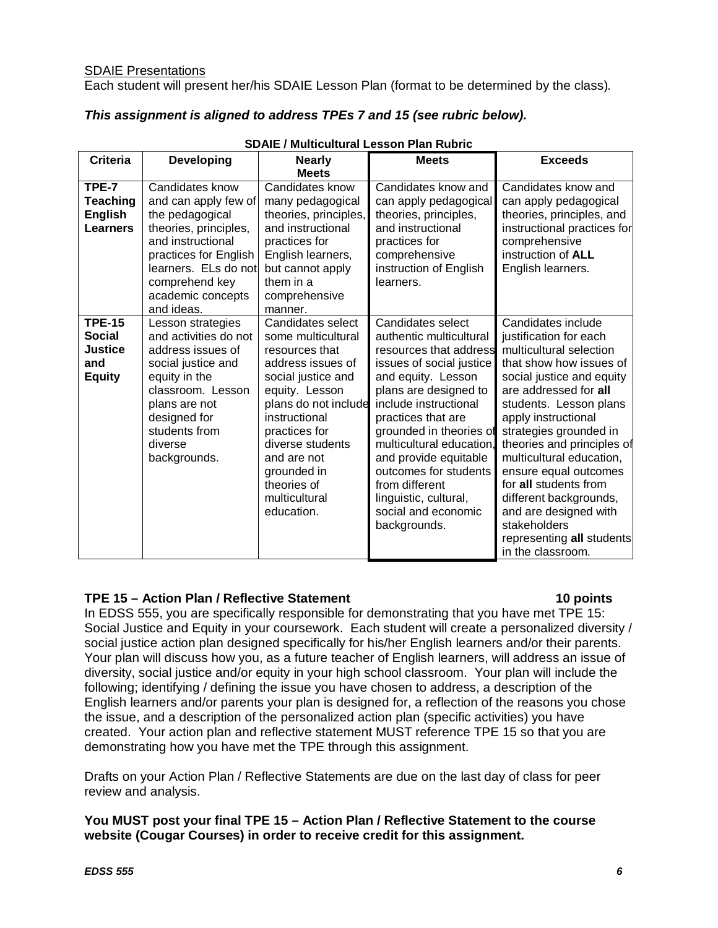Each student will present her/his SDAIE Lesson Plan (format to be determined by the class)*.*

# *This assignment is aligned to address TPEs 7 and 15 (see rubric below).*

| <b>Criteria</b>                                               | <b>Developing</b>                                                                                                                                                                                              | <b>Nearly</b><br><b>Meets</b>                                                                                                                                                                                                                                                    | <b>Meets</b>                                                                                                                                                                                                                                                                                                                                                                                | <b>Exceeds</b>                                                                                                                                                                                                                                                                                                                                                                                                                                                       |
|---------------------------------------------------------------|----------------------------------------------------------------------------------------------------------------------------------------------------------------------------------------------------------------|----------------------------------------------------------------------------------------------------------------------------------------------------------------------------------------------------------------------------------------------------------------------------------|---------------------------------------------------------------------------------------------------------------------------------------------------------------------------------------------------------------------------------------------------------------------------------------------------------------------------------------------------------------------------------------------|----------------------------------------------------------------------------------------------------------------------------------------------------------------------------------------------------------------------------------------------------------------------------------------------------------------------------------------------------------------------------------------------------------------------------------------------------------------------|
| TPE-7<br><b>Teaching</b><br><b>English</b><br><b>Learners</b> | Candidates know<br>and can apply few of<br>the pedagogical<br>theories, principles,<br>and instructional<br>practices for English<br>learners. ELs do not<br>comprehend key<br>academic concepts<br>and ideas. | Candidates know<br>many pedagogical<br>theories, principles,<br>and instructional<br>practices for<br>English learners,<br>but cannot apply<br>them in a<br>comprehensive<br>manner.                                                                                             | Candidates know and<br>can apply pedagogical<br>theories, principles,<br>and instructional<br>practices for<br>comprehensive<br>instruction of English<br>learners.                                                                                                                                                                                                                         | Candidates know and<br>can apply pedagogical<br>theories, principles, and<br>instructional practices for<br>comprehensive<br>instruction of ALL<br>English learners.                                                                                                                                                                                                                                                                                                 |
| <b>TPE-15</b><br>Social<br>Justice<br>and<br><b>Equity</b>    | Lesson strategies<br>and activities do not<br>address issues of<br>social justice and<br>equity in the<br>classroom. Lesson<br>plans are not<br>designed for<br>students from<br>diverse<br>backgrounds.       | Candidates select<br>some multicultural<br>resources that<br>address issues of<br>social justice and<br>equity. Lesson<br>plans do not include<br>instructional<br>practices for<br>diverse students<br>and are not<br>grounded in<br>theories of<br>multicultural<br>education. | Candidates select<br>authentic multicultural<br>resources that address<br>issues of social justice<br>and equity. Lesson<br>plans are designed to<br>include instructional<br>practices that are<br>grounded in theories of<br>multicultural education.<br>and provide equitable<br>outcomes for students<br>from different<br>linguistic, cultural,<br>social and economic<br>backgrounds. | Candidates include<br>justification for each<br>multicultural selection<br>that show how issues of<br>social justice and equity<br>are addressed for all<br>students. Lesson plans<br>apply instructional<br>strategies grounded in<br>theories and principles of<br>multicultural education,<br>ensure equal outcomes<br>for all students from<br>different backgrounds,<br>and are designed with<br>stakeholders<br>representing all students<br>in the classroom. |

### **SDAIE / Multicultural Lesson Plan Rubric**

# **TPE 15 – Action Plan / Reflective Statement 10 points**

In EDSS 555, you are specifically responsible for demonstrating that you have met TPE 15: Social Justice and Equity in your coursework. Each student will create a personalized diversity / social justice action plan designed specifically for his/her English learners and/or their parents. Your plan will discuss how you, as a future teacher of English learners, will address an issue of diversity, social justice and/or equity in your high school classroom. Your plan will include the following; identifying / defining the issue you have chosen to address, a description of the English learners and/or parents your plan is designed for, a reflection of the reasons you chose the issue, and a description of the personalized action plan (specific activities) you have created. Your action plan and reflective statement MUST reference TPE 15 so that you are demonstrating how you have met the TPE through this assignment.

Drafts on your Action Plan / Reflective Statements are due on the last day of class for peer review and analysis.

**You MUST post your final TPE 15 – Action Plan / Reflective Statement to the course website (Cougar Courses) in order to receive credit for this assignment.**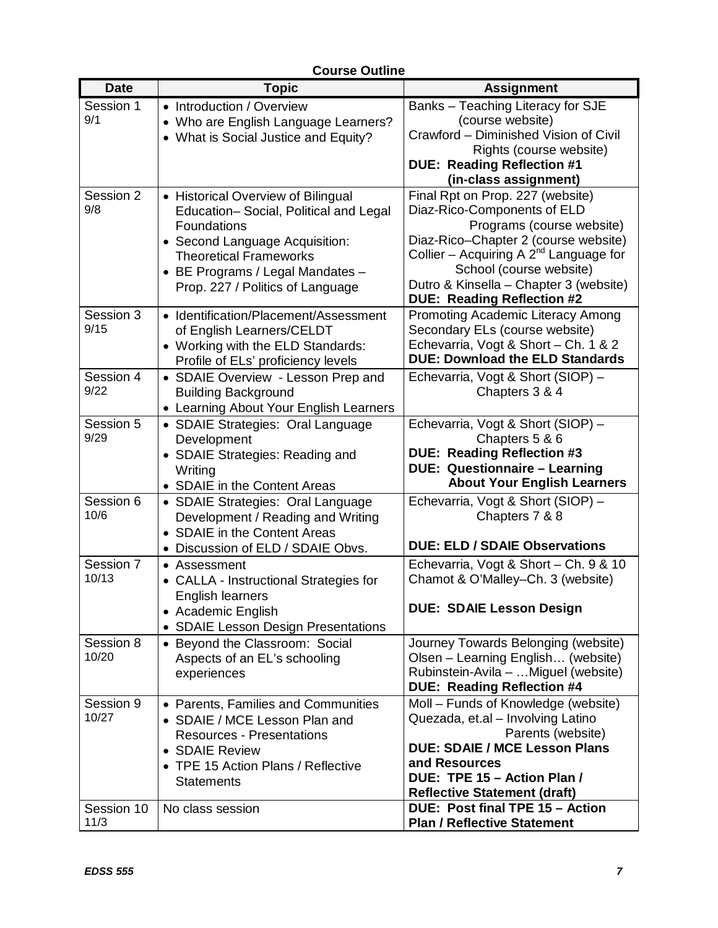| <b>Date</b>        | <b>Topic</b>                                                           | <b>Assignment</b>                                                           |
|--------------------|------------------------------------------------------------------------|-----------------------------------------------------------------------------|
| Session 1          | • Introduction / Overview                                              | Banks - Teaching Literacy for SJE                                           |
| 9/1                | Who are English Language Learners?                                     | (course website)                                                            |
|                    | • What is Social Justice and Equity?                                   | Crawford - Diminished Vision of Civil                                       |
|                    |                                                                        | Rights (course website)                                                     |
|                    |                                                                        | <b>DUE: Reading Reflection #1</b>                                           |
|                    |                                                                        | (in-class assignment)                                                       |
| Session 2          | • Historical Overview of Bilingual                                     | Final Rpt on Prop. 227 (website)                                            |
| 9/8                | Education-Social, Political and Legal                                  | Diaz-Rico-Components of ELD                                                 |
|                    | Foundations                                                            | Programs (course website)                                                   |
|                    | • Second Language Acquisition:                                         | Diaz-Rico-Chapter 2 (course website)                                        |
|                    | <b>Theoretical Frameworks</b>                                          | Collier – Acquiring A $2^{nd}$ Language for                                 |
|                    | • BE Programs / Legal Mandates -                                       | School (course website)                                                     |
|                    | Prop. 227 / Politics of Language                                       | Dutro & Kinsella - Chapter 3 (website)<br><b>DUE: Reading Reflection #2</b> |
| Session 3          | • Identification/Placement/Assessment                                  | Promoting Academic Literacy Among                                           |
| 9/15               | of English Learners/CELDT                                              | Secondary ELs (course website)                                              |
|                    | • Working with the ELD Standards:                                      | Echevarria, Vogt & Short - Ch. 1 & 2                                        |
|                    | Profile of ELs' proficiency levels                                     | <b>DUE: Download the ELD Standards</b>                                      |
| Session 4          | • SDAIE Overview - Lesson Prep and                                     | Echevarria, Vogt & Short (SIOP) -                                           |
| 9/22               | <b>Building Background</b>                                             | Chapters 3 & 4                                                              |
|                    | • Learning About Your English Learners                                 |                                                                             |
| Session 5          | • SDAIE Strategies: Oral Language                                      | Echevarria, Vogt & Short (SIOP) -                                           |
| 9/29               | Development                                                            | Chapters 5 & 6                                                              |
|                    | • SDAIE Strategies: Reading and                                        | <b>DUE: Reading Reflection #3</b><br><b>DUE: Questionnaire - Learning</b>   |
|                    | Writing                                                                | <b>About Your English Learners</b>                                          |
| Session 6          | • SDAIE in the Content Areas                                           | Echevarria, Vogt & Short (SIOP) -                                           |
| 10/6               | • SDAIE Strategies: Oral Language<br>Development / Reading and Writing | Chapters 7 & 8                                                              |
|                    | • SDAIE in the Content Areas                                           |                                                                             |
|                    | Discussion of ELD / SDAIE Obvs.<br>$\bullet$                           | <b>DUE: ELD / SDAIE Observations</b>                                        |
| Session 7          | • Assessment                                                           | Echevarria, Vogt & Short - Ch. 9 & 10                                       |
| 10/13              | • CALLA - Instructional Strategies for                                 | Chamot & O'Malley-Ch. 3 (website)                                           |
|                    | English learners                                                       |                                                                             |
|                    | • Academic English                                                     | <b>DUE: SDAIE Lesson Design</b>                                             |
|                    | • SDAIE Lesson Design Presentations                                    |                                                                             |
| Session 8          | • Beyond the Classroom: Social                                         | Journey Towards Belonging (website)                                         |
| 10/20              | Aspects of an EL's schooling                                           | Olsen - Learning English (website)                                          |
|                    | experiences                                                            | Rubinstein-Avila – Miguel (website)                                         |
|                    |                                                                        | <b>DUE: Reading Reflection #4</b>                                           |
| Session 9<br>10/27 | • Parents, Families and Communities                                    | Moll – Funds of Knowledge (website)                                         |
|                    | • SDAIE / MCE Lesson Plan and<br><b>Resources - Presentations</b>      | Quezada, et.al - Involving Latino<br>Parents (website)                      |
|                    | • SDAIE Review                                                         | <b>DUE: SDAIE / MCE Lesson Plans</b>                                        |
|                    | • TPE 15 Action Plans / Reflective                                     | and Resources                                                               |
|                    | <b>Statements</b>                                                      | DUE: TPE 15 - Action Plan /                                                 |
|                    |                                                                        | <b>Reflective Statement (draft)</b>                                         |
| Session 10         | No class session                                                       | DUE: Post final TPE 15 - Action                                             |
| 11/3               |                                                                        | <b>Plan / Reflective Statement</b>                                          |

# **Course Outline**